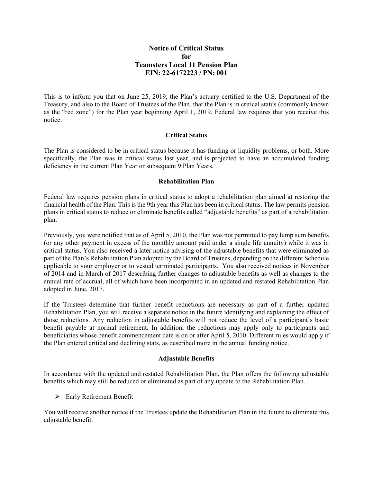# **Notice of Critical Status for Teamsters Local 11 Pension Plan EIN: 22-6172223 / PN: 001**

This is to inform you that on June 25, 2019, the Plan's actuary certified to the U.S. Department of the Treasury, and also to the Board of Trustees of the Plan, that the Plan is in critical status (commonly known as the "red zone") for the Plan year beginning April 1, 2019. Federal law requires that you receive this notice.

#### **Critical Status**

The Plan is considered to be in critical status because it has funding or liquidity problems, or both. More specifically, the Plan was in critical status last year, and is projected to have an accumulated funding deficiency in the current Plan Year or subsequent 9 Plan Years.

#### **Rehabilitation Plan**

Federal law requires pension plans in critical status to adopt a rehabilitation plan aimed at restoring the financial health of the Plan. This is the 9th year this Plan has been in critical status. The law permits pension plans in critical status to reduce or eliminate benefits called "adjustable benefits" as part of a rehabilitation plan.

Previously, you were notified that as of April 5, 2010, the Plan was not permitted to pay lump sum benefits (or any other payment in excess of the monthly amount paid under a single life annuity) while it was in critical status. You also received a later notice advising of the adjustable benefits that were eliminated as part of the Plan's Rehabilitation Plan adopted by the Board of Trustees, depending on the different Schedule applicable to your employer or to vested terminated participants. You also received notices in November of 2014 and in March of 2017 describing further changes to adjustable benefits as well as changes to the annual rate of accrual, all of which have been incorporated in an updated and restated Rehabilitation Plan adopted in June, 2017.

If the Trustees determine that further benefit reductions are necessary as part of a further updated Rehabilitation Plan, you will receive a separate notice in the future identifying and explaining the effect of those reductions. Any reduction in adjustable benefits will not reduce the level of a participant's basic benefit payable at normal retirement. In addition, the reductions may apply only to participants and beneficiaries whose benefit commencement date is on or after April 5, 2010. Different rules would apply if the Plan entered critical and declining stats, as described more in the annual funding notice.

## **Adjustable Benefits**

In accordance with the updated and restated Rehabilitation Plan, the Plan offers the following adjustable benefits which may still be reduced or eliminated as part of any update to the Rehabilitation Plan.

▶ Early Retirement Benefit

You will receive another notice if the Trustees update the Rehabilitation Plan in the future to eliminate this adjustable benefit.